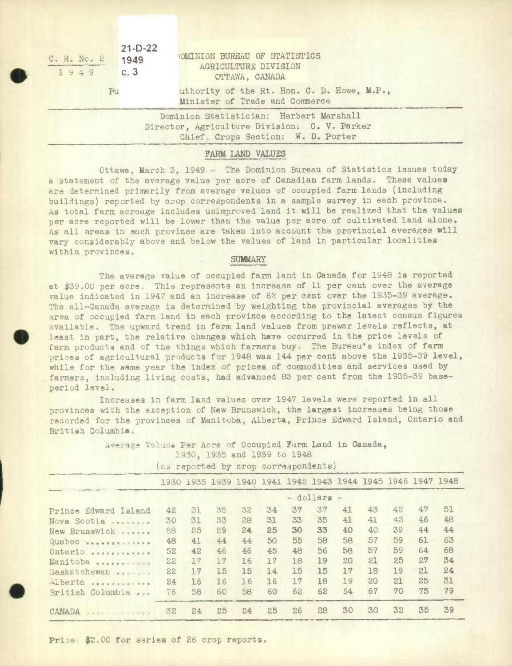| $21-D-22$<br>1949<br>C. R. No. 2<br>c.3<br>1949 | OMINION BUREAU OF STATISTICS<br>AGRICULTURE DIVISION<br>OTTAWA, CANADA                                                        |
|-------------------------------------------------|-------------------------------------------------------------------------------------------------------------------------------|
| Pu                                              | uthority of the Rt. Hon. C. D. Howe, M.P.,<br>Minister of Trade and Commerce                                                  |
|                                                 | Dominion Statistician: Herbert Marshall<br>Director, Agriculture Division: C. V. Parker<br>Chief. Crops Section: W. D. Porter |

## FARM LAND VALUES

Ottawa, March 3, 1949 - The Dominion Bureau of Statistics issues today a statement of the average value per acre of Canadian farm lands. These values are determined primarily from average values of occupied farm lands (including buildings) reported by crop correspondents in a sample survey in each province. As total farm acreage includes unimproved land it will be realized that the values per acre reported will be lower than the value per acre of cultivated land alone. As all areas in each province are taken into account the provincial averages will vary considerably above and below the values of land in particular localities within provinces.

## **SUMMARY**

The average value of occupied farm land in Canada for 1948 is reported at \$39.00 per acre. This represents an increase of 11 per cent over the average value indicated in 1947 and an increase of 62 per cent over the 1935-39 average. The all-Canada average is determined by weighting the provincial averages by the area of occupied farm land in each province according to the latest census figures available. The upward trend in farm land values from prewar levels reflects, at least in part, the relative changes which have occurred in the price levels of farm products and of the things which farmers buy. The Bureau's index of farm prices of agricultural products for 1948 was 144 per cent above the 1935-39 level, while for the same year the Index of prices of commodities and services used by farmers, Including living costs, had advanced 83 per cent from the 1935-39 baseperiod level.

Increases in farm land values over 1947 levels were reported In all provinces with the exception of New Brunswick, the largest increases being those recorded for the provinces of Manitoba, Alberta, Prince Edward Island, Ontario and British Columbia,

> Awerage Values Per Acre of Occupied Farm Land in Canada, 3O, 1935 and 1939 to 1948 as reported by crop correspondents)

|                                                                                              |    |    |    |                                                             | as reported by crop correspondence! |    |    |    |    |    |    |    |  |  |
|----------------------------------------------------------------------------------------------|----|----|----|-------------------------------------------------------------|-------------------------------------|----|----|----|----|----|----|----|--|--|
| name were interested to the control of the control of the control of the control of the con- |    |    |    | 1930 1935 1939 1940 1941 1942 1943 1944 1945 1946 1947 1948 |                                     |    |    |    |    |    |    |    |  |  |
| contact in the supported and policy of the changes of                                        |    |    |    |                                                             | - dollars -                         |    |    |    |    |    |    |    |  |  |
| Prince Edward Island                                                                         | 42 | 31 | 35 | 32                                                          | 34                                  | 37 | 37 | 41 | 43 | 42 | 47 | 51 |  |  |
| Nova Scotia                                                                                  | 30 | 31 | 33 | 28                                                          | 31                                  | 33 | 35 | 41 | 41 | 42 | 46 | 48 |  |  |
| New Brunswick second                                                                         | 28 | 25 | 29 | 24                                                          | 25                                  | 30 | 33 | 40 | 40 | 39 | 44 | 44 |  |  |
| Quebec                                                                                       | 48 | 41 | 44 | 44                                                          | 50                                  | 55 | 58 | 58 | 57 | 59 | 61 | 63 |  |  |
| Ontario<br>                                                                                  | 52 | 42 | 46 | 46                                                          | 45                                  | 48 | 56 | 58 | 57 | 59 | 64 | 68 |  |  |
| Manitoba                                                                                     | 22 | 17 | 17 | 16                                                          | 17                                  | 18 | 19 | 20 | 21 | 25 | 27 | 34 |  |  |
| Saskatchewan<br>0.001111                                                                     | 22 | 17 | 15 | 15                                                          | 14                                  | 15 | 15 | 17 | 18 | 19 | 21 | 24 |  |  |
| Alberta                                                                                      | 24 | 16 | 16 | 16                                                          | 16                                  | 17 | 18 | 19 | 20 | 21 | 25 | 31 |  |  |
| British Columbia                                                                             | 76 | 58 | 60 | 58                                                          | 60                                  | 62 | 62 | 64 | 67 | 70 | 75 | 79 |  |  |
| CANADA                                                                                       | 32 | 24 | 25 | 24                                                          | 25                                  | 26 | 28 | 30 | 30 | 32 | 35 | 39 |  |  |

Price:  $$2.00$  for series of 26 crop reports.